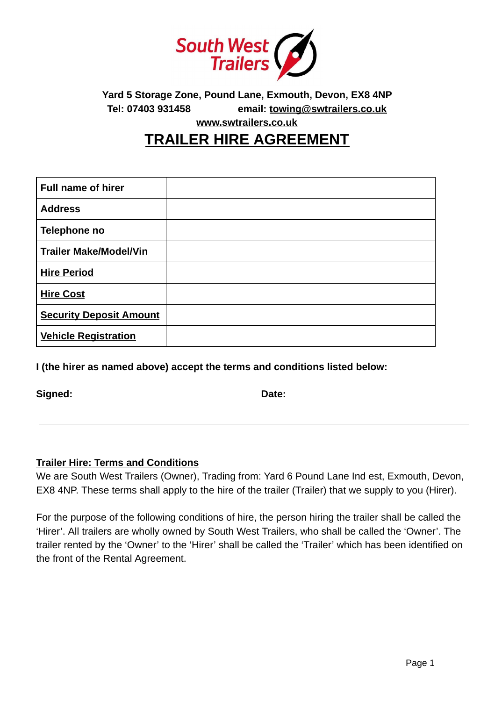

**Yard 5 Storage Zone, Pound Lane, Exmouth, Devon, EX8 4NP Tel: 07403 931458 email: [towing@swtrailers.co.uk](mailto:towing@swtrailers.co.uk)** 

**[www.swtrailers.co.uk](http://www.swtrailers.co.uk/)** 

## **TRAILER HIRE AGREEMENT**

| <b>Full name of hirer</b>      |  |
|--------------------------------|--|
| <b>Address</b>                 |  |
| Telephone no                   |  |
| <b>Trailer Make/Model/Vin</b>  |  |
| <b>Hire Period</b>             |  |
| <b>Hire Cost</b>               |  |
| <b>Security Deposit Amount</b> |  |
| <b>Vehicle Registration</b>    |  |

**I (the hirer as named above) accept the terms and conditions listed below:** 

Signed: **Date: Date: Date: Date:** 

### **Trailer Hire: Terms and Conditions**

We are South West Trailers (Owner), Trading from: Yard 6 Pound Lane Ind est, Exmouth, Devon, EX8 4NP. These terms shall apply to the hire of the trailer (Trailer) that we supply to you (Hirer).

For the purpose of the following conditions of hire, the person hiring the trailer shall be called the 'Hirer'. All trailers are wholly owned by South West Trailers, who shall be called the 'Owner'. The trailer rented by the 'Owner' to the 'Hirer' shall be called the 'Trailer' which has been identified on the front of the Rental Agreement.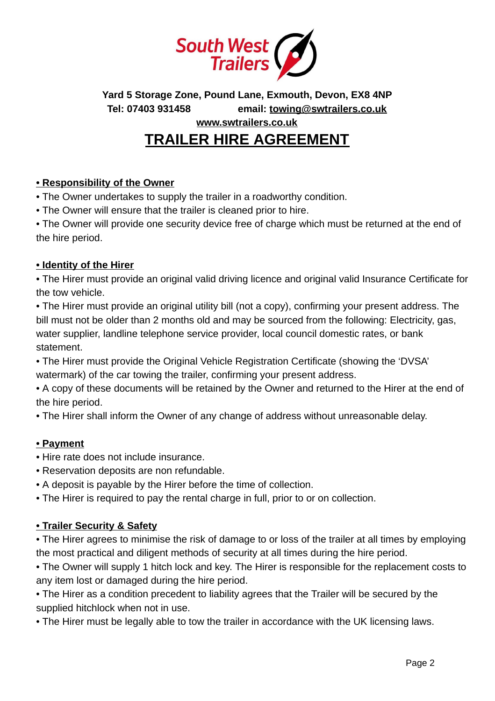

**Yard 5 Storage Zone, Pound Lane, Exmouth, Devon, EX8 4NP Tel: 07403 931458 email: [towing@swtrailers.co.uk](mailto:towing@swtrailers.co.uk)** 

**[www.swtrailers.co.uk](http://www.swtrailers.co.uk/)** 

# **TRAILER HIRE AGREEMENT**

#### **• Responsibility of the Owner**

• The Owner undertakes to supply the trailer in a roadworthy condition.

• The Owner will ensure that the trailer is cleaned prior to hire.

• The Owner will provide one security device free of charge which must be returned at the end of the hire period.

#### **• Identity of the Hirer**

• The Hirer must provide an original valid driving licence and original valid Insurance Certificate for the tow vehicle.

• The Hirer must provide an original utility bill (not a copy), confirming your present address. The bill must not be older than 2 months old and may be sourced from the following: Electricity, gas, water supplier, landline telephone service provider, local council domestic rates, or bank statement.

• The Hirer must provide the Original Vehicle Registration Certificate (showing the 'DVSA' watermark) of the car towing the trailer, confirming your present address.

• A copy of these documents will be retained by the Owner and returned to the Hirer at the end of the hire period.

• The Hirer shall inform the Owner of any change of address without unreasonable delay.

#### **• Payment**

- Hire rate does not include insurance.
- Reservation deposits are non refundable.
- A deposit is payable by the Hirer before the time of collection.
- The Hirer is required to pay the rental charge in full, prior to or on collection.

#### **• Trailer Security & Safety**

• The Hirer agrees to minimise the risk of damage to or loss of the trailer at all times by employing the most practical and diligent methods of security at all times during the hire period.

• The Owner will supply 1 hitch lock and key. The Hirer is responsible for the replacement costs to any item lost or damaged during the hire period.

• The Hirer as a condition precedent to liability agrees that the Trailer will be secured by the supplied hitchlock when not in use.

• The Hirer must be legally able to tow the trailer in accordance with the UK licensing laws.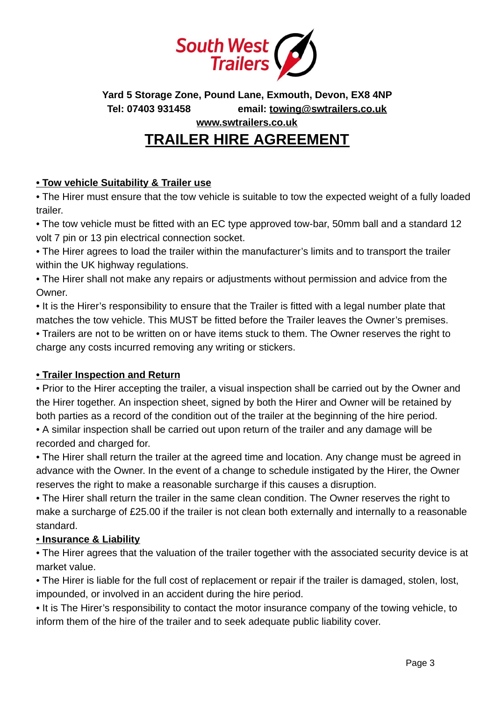

**Yard 5 Storage Zone, Pound Lane, Exmouth, Devon, EX8 4NP Tel: 07403 931458 email: [towing@swtrailers.co.uk](mailto:towing@swtrailers.co.uk)** 

**[www.swtrailers.co.uk](http://www.swtrailers.co.uk/)** 

# **TRAILER HIRE AGREEMENT**

### **• Tow vehicle Suitability & Trailer use**

• The Hirer must ensure that the tow vehicle is suitable to tow the expected weight of a fully loaded trailer.

• The tow vehicle must be fitted with an EC type approved tow-bar, 50mm ball and a standard 12 volt 7 pin or 13 pin electrical connection socket.

• The Hirer agrees to load the trailer within the manufacturer's limits and to transport the trailer within the UK highway regulations.

• The Hirer shall not make any repairs or adjustments without permission and advice from the Owner.

• It is the Hirer's responsibility to ensure that the Trailer is fitted with a legal number plate that matches the tow vehicle. This MUST be fitted before the Trailer leaves the Owner's premises.

• Trailers are not to be written on or have items stuck to them. The Owner reserves the right to charge any costs incurred removing any writing or stickers.

## **• Trailer Inspection and Return**

• Prior to the Hirer accepting the trailer, a visual inspection shall be carried out by the Owner and the Hirer together. An inspection sheet, signed by both the Hirer and Owner will be retained by both parties as a record of the condition out of the trailer at the beginning of the hire period.

• A similar inspection shall be carried out upon return of the trailer and any damage will be recorded and charged for.

• The Hirer shall return the trailer at the agreed time and location. Any change must be agreed in advance with the Owner. In the event of a change to schedule instigated by the Hirer, the Owner reserves the right to make a reasonable surcharge if this causes a disruption.

• The Hirer shall return the trailer in the same clean condition. The Owner reserves the right to make a surcharge of £25.00 if the trailer is not clean both externally and internally to a reasonable standard.

### **• Insurance & Liability**

• The Hirer agrees that the valuation of the trailer together with the associated security device is at market value.

• The Hirer is liable for the full cost of replacement or repair if the trailer is damaged, stolen, lost, impounded, or involved in an accident during the hire period.

• It is The Hirer's responsibility to contact the motor insurance company of the towing vehicle, to inform them of the hire of the trailer and to seek adequate public liability cover.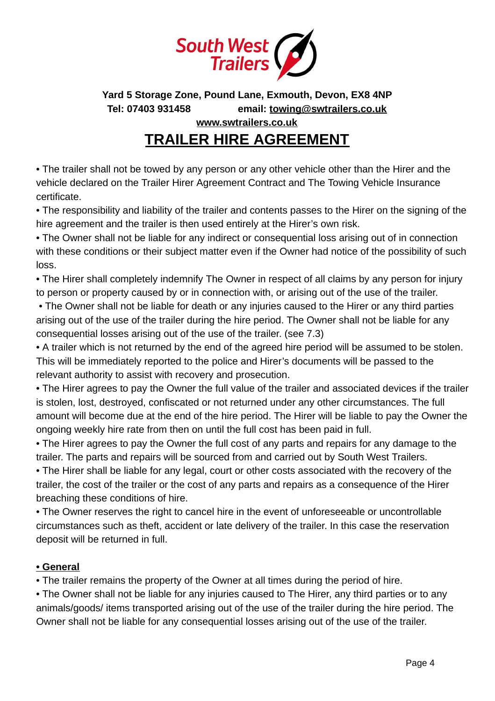

**Yard 5 Storage Zone, Pound Lane, Exmouth, Devon, EX8 4NP Tel: 07403 931458 email: [towing@swtrailers.co.uk](mailto:towing@swtrailers.co.uk)  [www.swtrailers.co.uk](http://www.swtrailers.co.uk/)** 

# **TRAILER HIRE AGREEMENT**

• The trailer shall not be towed by any person or any other vehicle other than the Hirer and the vehicle declared on the Trailer Hirer Agreement Contract and The Towing Vehicle Insurance certificate.

• The responsibility and liability of the trailer and contents passes to the Hirer on the signing of the hire agreement and the trailer is then used entirely at the Hirer's own risk.

• The Owner shall not be liable for any indirect or consequential loss arising out of in connection with these conditions or their subject matter even if the Owner had notice of the possibility of such loss.

• The Hirer shall completely indemnify The Owner in respect of all claims by any person for injury to person or property caused by or in connection with, or arising out of the use of the trailer.

 • The Owner shall not be liable for death or any injuries caused to the Hirer or any third parties arising out of the use of the trailer during the hire period. The Owner shall not be liable for any consequential losses arising out of the use of the trailer. (see 7.3)

• A trailer which is not returned by the end of the agreed hire period will be assumed to be stolen. This will be immediately reported to the police and Hirer's documents will be passed to the relevant authority to assist with recovery and prosecution.

• The Hirer agrees to pay the Owner the full value of the trailer and associated devices if the trailer is stolen, lost, destroyed, confiscated or not returned under any other circumstances. The full amount will become due at the end of the hire period. The Hirer will be liable to pay the Owner the ongoing weekly hire rate from then on until the full cost has been paid in full.

• The Hirer agrees to pay the Owner the full cost of any parts and repairs for any damage to the trailer. The parts and repairs will be sourced from and carried out by South West Trailers.

• The Hirer shall be liable for any legal, court or other costs associated with the recovery of the trailer, the cost of the trailer or the cost of any parts and repairs as a consequence of the Hirer breaching these conditions of hire.

• The Owner reserves the right to cancel hire in the event of unforeseeable or uncontrollable circumstances such as theft, accident or late delivery of the trailer. In this case the reservation deposit will be returned in full.

## **• General**

• The trailer remains the property of the Owner at all times during the period of hire.

• The Owner shall not be liable for any injuries caused to The Hirer, any third parties or to any animals/goods/ items transported arising out of the use of the trailer during the hire period. The Owner shall not be liable for any consequential losses arising out of the use of the trailer.